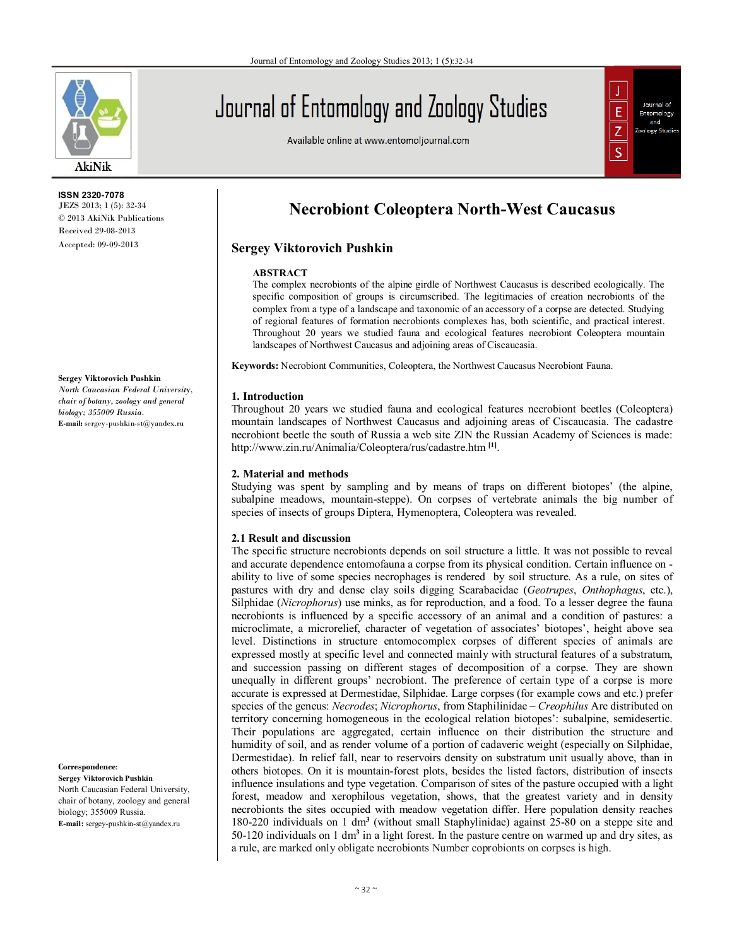

#### **ISSN 2320-7078** JEZS 2013; 1 (5): 32-34 © 2013 AkiNik Publications Received 29-08-2013

Accepted: 09-09-2013

#### **Sergey Viktorovich Pushkin**

*North Caucasian Federal University, chair of botany, zoology and general biology; 355009 Russia.*  **E-mail:** sergey-pushkin-st@yandex.ru

**Correspondence**:

**Sergey Viktorovich Pushkin** North Caucasian Federal University, chair of botany, zoology and general biology; 355009 Russia. **E-mail:** sergey-pushkin-st@yandex.ru

# Journal of Entomology and Zoology Studies

Available online at www.entomoljournal.com



## **Necrobiont Coleoptera North-West Caucasus**

### **Sergey Viktorovich Pushkin**

#### **ABSTRACT**

The complex necrobionts of the alpine girdle of Northwest Caucasus is described ecologically. The specific composition of groups is circumscribed. The legitimacies of creation necrobionts of the complex from a type of a landscape and taxonomic of an accessory of a corpse are detected. Studying of regional features of formation necrobionts complexes has, both scientific, and practical interest. Throughout 20 years we studied fauna and ecological features necrobiont Coleoptera mountain landscapes of Northwest Caucasus and adjoining areas of Ciscaucasia.

**Keywords:** Necrobiont Communities, Coleoptera, the Northwest Caucasus Necrobiont Fauna.

#### **1. Introduction**

Throughout 20 years we studied fauna and ecological features necrobiont beetles (Coleoptera) mountain landscapes of Northwest Caucasus and adjoining areas of Ciscaucasia. The cadastre necrobiont beetle the south of Russia a web site ZIN the Russian Academy of Sciences is made: http://www.zin.ru/Animalia/Coleoptera/rus/cadastre.htm **[1]** .

#### **2. Material and methods**

Studying was spent by sampling and by means of traps on different biotopes' (the alpine, subalpine meadows, mountain-steppe). On corpses of vertebrate animals the big number of species of insects of groups Diptera, Hymenoptera, Coleoptera was revealed.

#### **2.1 Result and discussion**

The specific structure necrobionts depends on soil structure a little. It was not possible to reveal and accurate dependence entomofauna a corpse from its physical condition. Certain influence on ability to live of some species necrophages is rendered by soil structure. As a rule, on sites of pastures with dry and dense clay soils digging Scarabaeidae (*Geotrupes*, *Onthophagus*, etc.), Silphidae (*Nicrophorus*) use minks, as for reproduction, and a food. To a lesser degree the fauna necrobionts is influenced by a specific accessory of an animal and a condition of pastures: a microclimate, a microrelief, character of vegetation of associates' biotopes', height above sea level. Distinctions in structure entomocomplex corpses of different species of animals are expressed mostly at specific level and connected mainly with structural features of a substratum, and succession passing on different stages of decomposition of a corpse. They are shown unequally in different groups' necrobiont. The preference of certain type of a corpse is more accurate is expressed at Dermestidae, Silphidae. Large corpses (for example cows and etc.) prefer species of the geneus: *Necrodes*; *Nicrophorus*, from Staphilinidae – *Creophilus* Are distributed on territory concerning homogeneous in the ecological relation biotopes': subalpine, semidesertic. Their populations are aggregated, certain influence on their distribution the structure and humidity of soil, and as render volume of a portion of cadaveric weight (especially on Silphidae, Dermestidae). In relief fall, near to reservoirs density on substratum unit usually above, than in others biotopes. On it is mountain-forest plots, besides the listed factors, distribution of insects influence insulations and type vegetation. Comparison of sites of the pasture occupied with a light forest, meadow and xerophilous vegetation, shows, that the greatest variety and in density necrobionts the sites occupied with meadow vegetation differ. Here population density reaches 180-220 individuals on 1 dm**<sup>3</sup>** (without small Staphylinidae) against 25-80 on a steppe site and 50-120 individuals on 1 dm**<sup>3</sup>** in a light forest. In the pasture centre on warmed up and dry sites, as a rule, are marked only obligate necrobionts Number coprobionts on corpses is high.